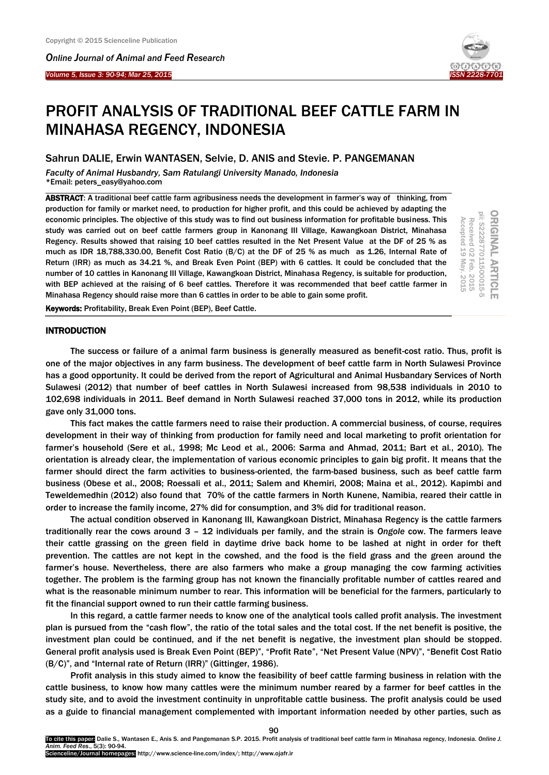I

*Online Journal of A[nimal and](http://www.ojafr.ir/main/) Feed Research Volume 5, Issue 3: 90-94; Mar 25, 2015* 



# PROFIT ANALYSIS OF TRADITIONAL BEEF CATTLE FARM IN MINAHASA REGENCY, INDONESIA

## Sahrun DALIE, Erwin WANTASEN, Selvie, D. ANIS and Stevie. P. PANGEMANAN

*Faculty of Animal Husbandry, Sam Ratulangi University Manado, Indonesia* \*Email: peters\_easy@yahoo.com

ABSTRACT: A traditional beef cattle farm agribusiness needs the development in farmer's way of thinking, from production for family or market need, to production for higher profit, and this could be achieved by adapting the economic principles. The objective of this study was to find out business information for profitable business. This study was carried out on beef cattle farmers group in Kanonang III Village, Kawangkoan District, Minahasa Regency. Results showed that raising 10 beef cattles resulted in the Net Present Value at the DF of 25 % as much as IDR 18,788,330.00, Benefit Cost Ratio (B/C) at the DF of 25 % as much as 1.26, Internal Rate of Return (IRR) as much as 34.21 %, and Break Even Point (BEP) with 6 cattles. It could be concluded that the number of 10 cattles in Kanonang III Village, Kawangkoan District, Minahasa Regency, is suitable for production, with BEP achieved at the raising of 6 beef cattles. Therefore it was recommended that beef cattle farmer in Minahasa Regency should raise more than 6 cattles in order to be able to gain some profit.

ORIGINAL ARTICLE<br>pii: S222877011500015-5 Received 02 Feb. 2015 Accepted 19 May. 2015 Accepted 19 Received 02 May. 2015 Feb. 2015

Keywords: Profitability, Break Even Point (BEP), Beef Cattle.

## INTRODUCTION

The success or failure of a animal farm business is generally measured as benefit-cost ratio. Thus, profit is one of the major objectives in any farm business. The development of beef cattle farm in North Sulawesi Province has a good opportunity. It could be derived from the report of Agricultural and Animal Husbandary Services of North Sulawesi (2012) that number of beef cattles in North Sulawesi increased from 98,538 individuals in 2010 to 102,698 individuals in 2011. Beef demand in North Sulawesi reached 37,000 tons in 2012, while its production gave only 31,000 tons.

This fact makes the cattle farmers need to raise their production. A commercial business, of course, requires development in their way of thinking from production for family need and local marketing to profit orientation for farmer's household (Sere et al*.*, 1998; Mc Leod et al*.*, 2006: Sarma and Ahmad, 2011; Bart et al*.*, 2010). The orientation is already clear, the implementation of various economic principles to gain big profit. It means that the farmer should direct the farm activities to business-oriented, the farm-based business, such as beef cattle farm business (Obese et al., 2008; Roessali et al., 2011; Salem and Khemiri, 2008; Maina et al*.*, 2012). Kapimbi and Teweldemedhin (2012) also found that 70% of the cattle farmers in North Kunene, Namibia, reared their cattle in order to increase the family income, 27% did for consumption, and 3% did for traditional reason.

The actual condition observed in Kanonang III, Kawangkoan District, Minahasa Regency is the cattle farmers traditionally rear the cows around 3 – 12 individuals per family, and the strain is *Ongole* cow. The farmers leave their cattle grassing on the green field in daytime drive back home to be lashed at night in order for theft prevention. The cattles are not kept in the cowshed, and the food is the field grass and the green around the farmer's house. Nevertheless, there are also farmers who make a group managing the cow farming activities together. The problem is the farming group has not known the financially profitable number of cattles reared and what is the reasonable minimum number to rear. This information will be beneficial for the farmers, particularly to fit the financial support owned to run their cattle farming business.

In this regard, a cattle farmer needs to know one of the analytical tools called profit analysis. The investment plan is pursued from the "cash flow", the ratio of the total sales and the total cost. If the net benefit is positive, the investment plan could be continued, and if the net benefit is negative, the investment plan should be stopped. General profit analysis used is Break Even Point (BEP)", "Profit Rate", "Net Present Value (NPV)", "Benefit Cost Ratio (B/C)", and "Internal rate of Return (IRR)" (Gittinger, 1986).

Profit analysis in this study aimed to know the feasibility of beef cattle farming business in relation with the cattle business, to know how many cattles were the minimum number reared by a farmer for beef cattles in the study site, and to avoid the investment continuity in unprofitable cattle business. The profit analysis could be used as a guide to financial management complemented with important information needed by other parties, such as

90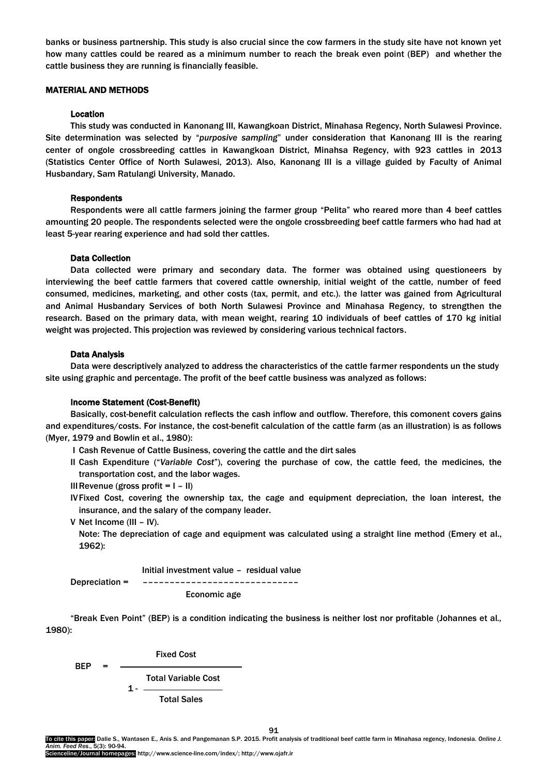banks or business partnership. This study is also crucial since the cow farmers in the study site have not known yet how many cattles could be reared as a minimum number to reach the break even point (BEP) and whether the cattle business they are running is financially feasible.

## MATERIAL AND METHODS

## Location

This study was conducted in Kanonang III, Kawangkoan District, Minahasa Regency, North Sulawesi Province. Site determination was selected by "*purposive sampling*" under consideration that Kanonang III is the rearing center of ongole crossbreeding cattles in Kawangkoan District, Minahsa Regency, with 923 cattles in 2013 (Statistics Center Office of North Sulawesi, 2013). Also, Kanonang III is a village guided by Faculty of Animal Husbandary, Sam Ratulangi University, Manado.

#### Respondents

Respondents were all cattle farmers joining the farmer group "Pelita" who reared more than 4 beef cattles amounting 20 people. The respondents selected were the ongole crossbreeding beef cattle farmers who had had at least 5-year rearing experience and had sold ther cattles.

## Data Collection

Data collected were primary and secondary data. The former was obtained using questioneers by interviewing the beef cattle farmers that covered cattle ownership, initial weight of the cattle, number of feed consumed, medicines, marketing, and other costs (tax, permit, and etc.). the latter was gained from Agricultural and Animal Husbandary Services of both North Sulawesi Province and Minahasa Regency, to strengthen the research. Based on the primary data, with mean weight, rearing 10 individuals of beef cattles of 170 kg initial weight was projected. This projection was reviewed by considering various technical factors.

#### Data Analysis

Data were descriptively analyzed to address the characteristics of the cattle farmer respondents un the study site using graphic and percentage. The profit of the beef cattle business was analyzed as follows:

#### Income Statement (Cost-Benefit)

Basically, cost-benefit calculation reflects the cash inflow and outflow. Therefore, this comonent covers gains and expenditures/costs. For instance, the cost-benefit calculation of the cattle farm (as an illustration) is as follows (Myer, 1979 and Bowlin et al., 1980):

- I Cash Revenue of Cattle Business, covering the cattle and the dirt sales
- II Cash Expenditure ("*Variable Cost*"), covering the purchase of cow, the cattle feed, the medicines, the transportation cost, and the labor wages.
- III Revenue (gross profit  $= 1 11$ )
- IVFixed Cost, covering the ownership tax, the cage and equipment depreciation, the loan interest, the insurance, and the salary of the company leader.
- V Net Income (III IV).

Note: The depreciation of cage and equipment was calculated using a straight line method (Emery et al., 1962):

 Initial investment value – residual value Depreciation = ––––––––––––––––––––––––––––– Economic age

"Break Even Point" (BEP) is a condition indicating the business is neither lost nor profitable (Johannes et al*.,* 1980):

**BEP** = 
$$
\frac{\text{Fixed Cost}}{1 - \frac{\text{Total Variable Cost}}{\text{Total Sales}}}
$$

91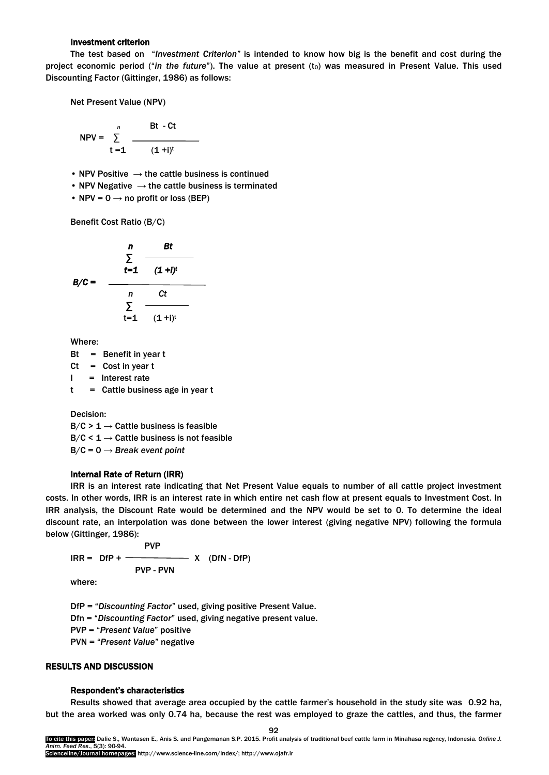#### Investment criterion

The test based on "*Investment Criterion"* is intended to know how big is the benefit and cost during the project economic period ("*in the future*"). The value at present (t<sub>0</sub>) was measured in Present Value. This used Discounting Factor (Gittinger, 1986) as follows:

Net Present Value (NPV)

$$
NPV = \sum_{t=1}^{n} \frac{Bt - Ct}{(1 + i)^{t}}
$$

• NPV Positive  $\rightarrow$  the cattle business is continued

- NPV Negative  $\rightarrow$  the cattle business is terminated
- NPV =  $0 \rightarrow$  no profit or loss (BEP)

Benefit Cost Ratio (B/C)

$$
B/C = \frac{\sum_{t=1}^{n} \frac{Bt}{(1+i)^{t}}}{\sum_{t=1}^{n} \frac{Ct}{(1+i)^{t}}}
$$

Where:

- $Bt = Benefit$  in year t
- $Ct = Cost in year t$
- $I =$  Interest rate

 $t =$  Cattle business age in year  $t$ 

Decision:  $B/C > 1 \rightarrow$  Cattle business is feasible  $B/C < 1 \rightarrow$  Cattle business is not feasible B/C = 0 → *Break event point*

#### Internal Rate of Return (IRR)

IRR is an interest rate indicating that Net Present Value equals to number of all cattle project investment costs. In other words, IRR is an interest rate in which entire net cash flow at present equals to Investment Cost. In IRR analysis, the Discount Rate would be determined and the NPV would be set to 0. To determine the ideal discount rate, an interpolation was done between the lower interest (giving negative NPV) following the formula below (Gittinger, 1986):

 PVP  $IRR = DfP + \n $X$  (DfN - DfP)$ PVP - PVN

where:

DfP = "*Discounting Factor*" used, giving positive Present Value.

Dfn = "*Discounting Factor*" used, giving negative present value.

PVP = "*Present Value*" positive

PVN = "*Present Value*" negative

#### RESULTS AND DISCUSSION

## Respondent's characteristics

Results showed that average area occupied by the cattle farmer's household in the study site was 0.92 ha, but the area worked was only 0.74 ha, because the rest was employed to graze the cattles, and thus, the farmer

92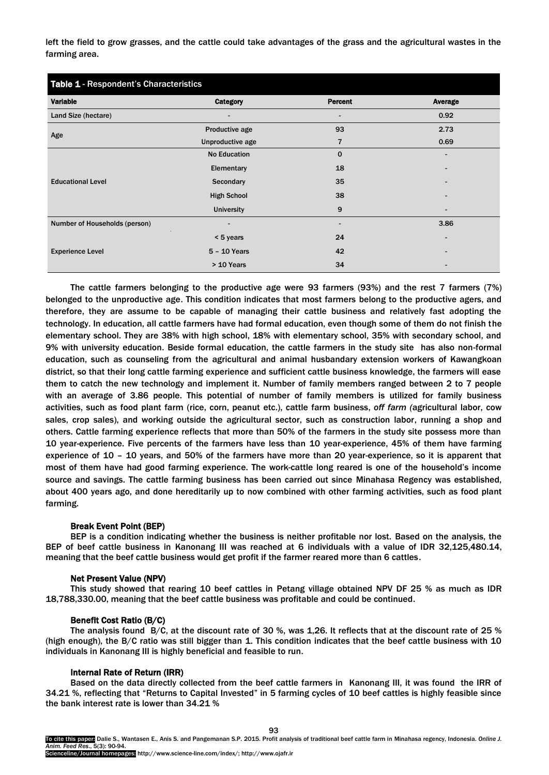left the field to grow grasses, and the cattle could take advantages of the grass and the agricultural wastes in the farming area.

| Table 1 - Respondent's Characteristics |                     |                |                |
|----------------------------------------|---------------------|----------------|----------------|
| <b>Variable</b>                        | <b>Category</b>     | <b>Percent</b> | <b>Average</b> |
| Land Size (hectare)                    |                     |                | 0.92           |
| Age                                    | Productive age      | 93             | 2.73           |
|                                        | Unproductive age    | 7              | 0.69           |
| <b>Educational Level</b>               | <b>No Education</b> | $\Omega$       |                |
|                                        | Elementary          | 18             |                |
|                                        | Secondary           | 35             |                |
|                                        | <b>High School</b>  | 38             |                |
|                                        | <b>University</b>   | 9              |                |
| Number of Households (person)          |                     |                | 3.86           |
| <b>Experience Level</b>                | < 5 years           | 24             |                |
|                                        | $5 - 10$ Years      | 42             |                |
|                                        | > 10 Years          | 34             |                |

The cattle farmers belonging to the productive age were 93 farmers (93%) and the rest 7 farmers (7%) belonged to the unproductive age. This condition indicates that most farmers belong to the productive agers, and therefore, they are assume to be capable of managing their cattle business and relatively fast adopting the technology. In education, all cattle farmers have had formal education, even though some of them do not finish the elementary school. They are 38% with high school, 18% with elementary school, 35% with secondary school, and 9% with university education. Beside formal education, the cattle farmers in the study site has also non-formal education, such as counseling from the agricultural and animal husbandary extension workers of Kawangkoan district, so that their long cattle farming experience and sufficient cattle business knowledge, the farmers will ease them to catch the new technology and implement it. Number of family members ranged between 2 to 7 people with an average of 3.86 people. This potential of number of family members is utilized for family business activities, such as food plant farm (rice, corn, peanut etc.), cattle farm business, *off farm (*agricultural labor, cow sales, crop sales), and working outside the agricultural sector, such as construction labor, running a shop and others. Cattle farming experience reflects that more than 50% of the farmers in the study site possess more than 10 year-experience. Five percents of the farmers have less than 10 year-experience, 45% of them have farming experience of 10 – 10 years, and 50% of the farmers have more than 20 year-experience, so it is apparent that most of them have had good farming experience. The work-cattle long reared is one of the household's income source and savings. The cattle farming business has been carried out since Minahasa Regency was established, about 400 years ago, and done hereditarily up to now combined with other farming activities, such as food plant farming.

## Break Event Point (BEP)

BEP is a condition indicating whether the business is neither profitable nor lost. Based on the analysis, the BEP of beef cattle business in Kanonang III was reached at 6 individuals with a value of IDR 32,125,480.14, meaning that the beef cattle business would get profit if the farmer reared more than 6 cattles.

## Net Present Value (NPV)

This study showed that rearing 10 beef cattles in Petang village obtained NPV DF 25 % as much as IDR 18,788,330.00, meaning that the beef cattle business was profitable and could be continued.

#### Benefit Cost Ratio (B/C)

The analysis found B/C, at the discount rate of 30 %, was 1,26. It reflects that at the discount rate of 25 % (high enough), the B/C ratio was still bigger than 1. This condition indicates that the beef cattle business with 10 individuals in Kanonang III is highly beneficial and feasible to run.

## Internal Rate of Return (IRR)

Based on the data directly collected from the beef cattle farmers in Kanonang III, it was found the IRR of 34.21 %, reflecting that "Returns to Capital Invested" in 5 farming cycles of 10 beef cattles is highly feasible since the bank interest rate is lower than 34.21 %